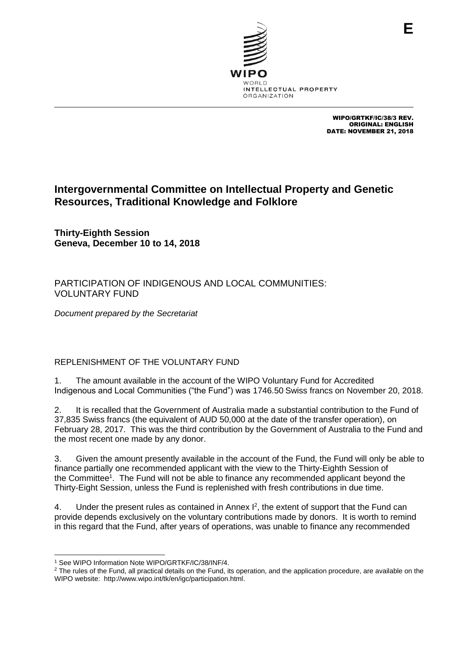

WIPO/GRTKF/IC/38/3 REV. ORIGINAL: ENGLISH DATE: NOVEMBER 21, 2018

**E**

# **Intergovernmental Committee on Intellectual Property and Genetic Resources, Traditional Knowledge and Folklore**

**Thirty-Eighth Session Geneva, December 10 to 14, 2018**

PARTICIPATION OF INDIGENOUS AND LOCAL COMMUNITIES: VOLUNTARY FUND

*Document prepared by the Secretariat*

# REPLENISHMENT OF THE VOLUNTARY FUND

1. The amount available in the account of the WIPO Voluntary Fund for Accredited Indigenous and Local Communities ("the Fund") was 1746.50 Swiss francs on November 20, 2018.

2. It is recalled that the Government of Australia made a substantial contribution to the Fund of 37,835 Swiss francs (the equivalent of AUD 50,000 at the date of the transfer operation), on February 28, 2017. This was the third contribution by the Government of Australia to the Fund and the most recent one made by any donor.

3. Given the amount presently available in the account of the Fund, the Fund will only be able to finance partially one recommended applicant with the view to the Thirty-Eighth Session of the Committee<sup>1</sup>. The Fund will not be able to finance any recommended applicant beyond the Thirty-Eight Session, unless the Fund is replenished with fresh contributions in due time.

4. Under the present rules as contained in Annex  $I^2$ , the extent of support that the Fund can provide depends exclusively on the voluntary contributions made by donors. It is worth to remind in this regard that the Fund, after years of operations, was unable to finance any recommended

 <sup>1</sup> See WIPO Information Note WIPO/GRTKF/IC/38/INF/4.

<sup>&</sup>lt;sup>2</sup> The rules of the Fund, all practical details on the Fund, its operation, and the application procedure, are available on the WIPO website: [http://www.wipo.int/tk/en/igc/participation.html.](http://www.wipo.int/tk/en/igc/participation.html)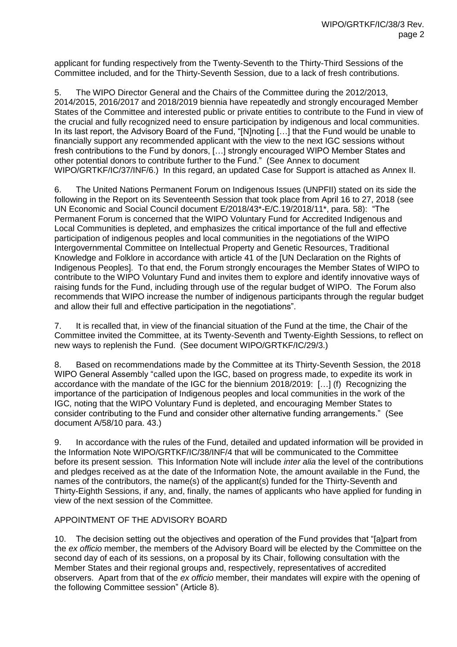applicant for funding respectively from the Twenty-Seventh to the Thirty-Third Sessions of the Committee included, and for the Thirty-Seventh Session, due to a lack of fresh contributions.

5. The WIPO Director General and the Chairs of the Committee during the 2012/2013, 2014/2015, 2016/2017 and 2018/2019 biennia have repeatedly and strongly encouraged Member States of the Committee and interested public or private entities to contribute to the Fund in view of the crucial and fully recognized need to ensure participation by indigenous and local communities. In its last report, the Advisory Board of the Fund, "[N]noting […] that the Fund would be unable to financially support any recommended applicant with the view to the next IGC sessions without fresh contributions to the Fund by donors, […] strongly encouraged WIPO Member States and other potential donors to contribute further to the Fund." (See Annex to document WIPO/GRTKF/IC/37/INF/6.) In this regard, an updated Case for Support is attached as Annex II.

6. The United Nations Permanent Forum on Indigenous Issues (UNPFII) stated on its side the following in the Report on its Seventeenth Session that took place from April 16 to 27, 2018 (see UN Economic and Social Council document E/2018/43\*-E/C.19/2018/11\*, para. 58): "The Permanent Forum is concerned that the WIPO Voluntary Fund for Accredited Indigenous and Local Communities is depleted, and emphasizes the critical importance of the full and effective participation of indigenous peoples and local communities in the negotiations of the WIPO Intergovernmental Committee on Intellectual Property and Genetic Resources, Traditional Knowledge and Folklore in accordance with article 41 of the [UN Declaration on the Rights of Indigenous Peoples]. To that end, the Forum strongly encourages the Member States of WIPO to contribute to the WIPO Voluntary Fund and invites them to explore and identify innovative ways of raising funds for the Fund, including through use of the regular budget of WIPO. The Forum also recommends that WIPO increase the number of indigenous participants through the regular budget and allow their full and effective participation in the negotiations".

7. It is recalled that, in view of the financial situation of the Fund at the time, the Chair of the Committee invited the Committee, at its Twenty-Seventh and Twenty-Eighth Sessions, to reflect on new ways to replenish the Fund. (See document WIPO/GRTKF/IC/29/3.)

8. Based on recommendations made by the Committee at its Thirty-Seventh Session, the 2018 WIPO General Assembly "called upon the IGC, based on progress made, to expedite its work in accordance with the mandate of the IGC for the biennium 2018/2019: […] (f) Recognizing the importance of the participation of Indigenous peoples and local communities in the work of the IGC, noting that the WIPO Voluntary Fund is depleted, and encouraging Member States to consider contributing to the Fund and consider other alternative funding arrangements." (See document A/58/10 para. 43.)

9. In accordance with the rules of the Fund, detailed and updated information will be provided in the Information Note WIPO/GRTKF/IC/38/INF/4 that will be communicated to the Committee before its present session. This Information Note will include *inter alia* the level of the contributions and pledges received as at the date of the Information Note, the amount available in the Fund, the names of the contributors, the name(s) of the applicant(s) funded for the Thirty-Seventh and Thirty-Eighth Sessions, if any, and, finally, the names of applicants who have applied for funding in view of the next session of the Committee.

## APPOINTMENT OF THE ADVISORY BOARD

10. The decision setting out the objectives and operation of the Fund provides that "[a]part from the *ex officio* member, the members of the Advisory Board will be elected by the Committee on the second day of each of its sessions, on a proposal by its Chair, following consultation with the Member States and their regional groups and, respectively, representatives of accredited observers. Apart from that of the *ex officio* member, their mandates will expire with the opening of the following Committee session" (Article 8).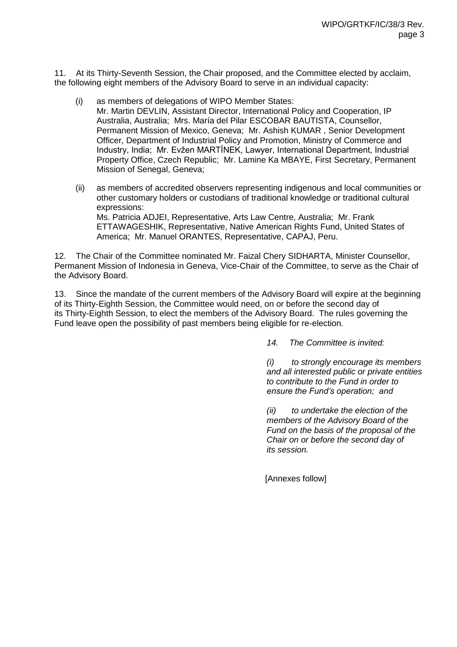11. At its Thirty-Seventh Session, the Chair proposed, and the Committee elected by acclaim, the following eight members of the Advisory Board to serve in an individual capacity:

- (i) as members of delegations of WIPO Member States: Mr. Martin DEVLIN, Assistant Director, International Policy and Cooperation, IP Australia, Australia; Mrs. María del Pilar ESCOBAR BAUTISTA, Counsellor, Permanent Mission of Mexico, Geneva; Mr. Ashish KUMAR , Senior Development Officer, Department of Industrial Policy and Promotion, Ministry of Commerce and Industry, India; Mr. Evžen MARTÍNEK, Lawyer, International Department, Industrial Property Office, Czech Republic; Mr. Lamine Ka MBAYE, First Secretary, Permanent Mission of Senegal, Geneva;
- (ii) as members of accredited observers representing indigenous and local communities or other customary holders or custodians of traditional knowledge or traditional cultural expressions: Ms. Patricia ADJEI, Representative, Arts Law Centre, Australia; Mr. Frank ETTAWAGESHIK, Representative, Native American Rights Fund, United States of America; Mr. Manuel ORANTES, Representative, CAPAJ, Peru.

12. The Chair of the Committee nominated Mr. Faizal Chery SIDHARTA, Minister Counsellor, Permanent Mission of Indonesia in Geneva, Vice-Chair of the Committee, to serve as the Chair of the Advisory Board.

13. Since the mandate of the current members of the Advisory Board will expire at the beginning of its Thirty-Eighth Session, the Committee would need, on or before the second day of its Thirty-Eighth Session, to elect the members of the Advisory Board. The rules governing the Fund leave open the possibility of past members being eligible for re-election.

*14. The Committee is invited:* 

*(i) to strongly encourage its members and all interested public or private entities to contribute to the Fund in order to ensure the Fund's operation; and*

*(ii) to undertake the election of the members of the Advisory Board of the Fund on the basis of the proposal of the Chair on or before the second day of its session.*

[Annexes follow]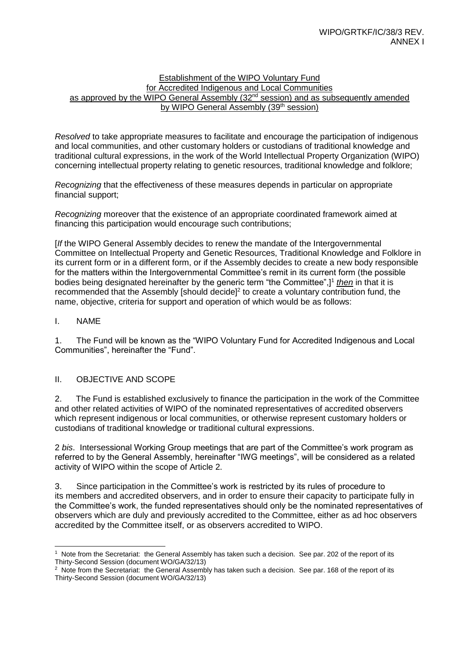#### Establishment of the WIPO Voluntary Fund for Accredited Indigenous and Local Communities as approved by the WIPO General Assembly (32<sup>nd</sup> session) and as subsequently amended by WIPO General Assembly (39<sup>th</sup> session)

*Resolved* to take appropriate measures to facilitate and encourage the participation of indigenous and local communities, and other customary holders or custodians of traditional knowledge and traditional cultural expressions, in the work of the World Intellectual Property Organization (WIPO) concerning intellectual property relating to genetic resources, traditional knowledge and folklore;

*Recognizing* that the effectiveness of these measures depends in particular on appropriate financial support;

*Recognizing* moreover that the existence of an appropriate coordinated framework aimed at financing this participation would encourage such contributions;

[*If* the WIPO General Assembly decides to renew the mandate of the Intergovernmental Committee on Intellectual Property and Genetic Resources, Traditional Knowledge and Folklore in its current form or in a different form, or if the Assembly decides to create a new body responsible for the matters within the Intergovernmental Committee's remit in its current form (the possible bodies being designated hereinafter by the generic term "the Committee",]<sup>1</sup> then in that it is recommended that the Assembly [should decide] $2$  to create a voluntary contribution fund, the name, objective, criteria for support and operation of which would be as follows:

## I. NAME

1. The Fund will be known as the "WIPO Voluntary Fund for Accredited Indigenous and Local Communities", hereinafter the "Fund".

## II. OBJECTIVE AND SCOPE

2. The Fund is established exclusively to finance the participation in the work of the Committee and other related activities of WIPO of the nominated representatives of accredited observers which represent indigenous or local communities, or otherwise represent customary holders or custodians of traditional knowledge or traditional cultural expressions.

2 *bis*. Intersessional Working Group meetings that are part of the Committee's work program as referred to by the General Assembly, hereinafter "IWG meetings", will be considered as a related activity of WIPO within the scope of Article 2.

3. Since participation in the Committee's work is restricted by its rules of procedure to its members and accredited observers, and in order to ensure their capacity to participate fully in the Committee's work, the funded representatives should only be the nominated representatives of observers which are duly and previously accredited to the Committee, either as ad hoc observers accredited by the Committee itself, or as observers accredited to WIPO.

 $\overline{a}$ <sup>1</sup> Note from the Secretariat: the General Assembly has taken such a decision. See par. 202 of the report of its Thirty-Second Session (document WO/GA/32/13)

 $2$  Note from the Secretariat: the General Assembly has taken such a decision. See par. 168 of the report of its Thirty-Second Session (document WO/GA/32/13)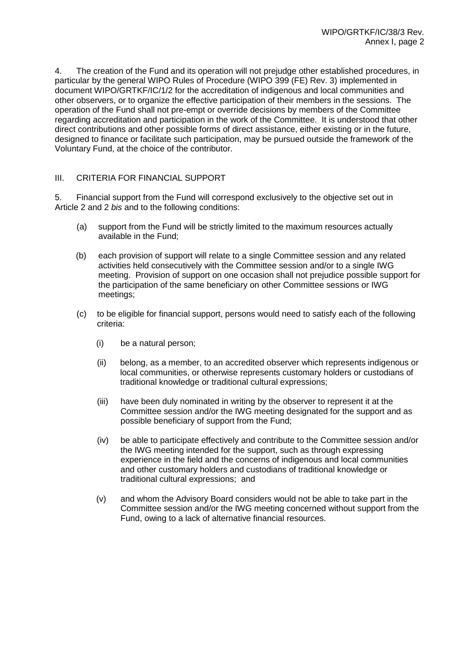4. The creation of the Fund and its operation will not prejudge other established procedures, in particular by the general WIPO Rules of Procedure (WIPO 399 (FE) Rev. 3) implemented in document WIPO/GRTKF/IC/1/2 for the accreditation of indigenous and local communities and other observers, or to organize the effective participation of their members in the sessions. The operation of the Fund shall not pre-empt or override decisions by members of the Committee regarding accreditation and participation in the work of the Committee. It is understood that other direct contributions and other possible forms of direct assistance, either existing or in the future, designed to finance or facilitate such participation, may be pursued outside the framework of the Voluntary Fund, at the choice of the contributor.

# III. CRITERIA FOR FINANCIAL SUPPORT

5. Financial support from the Fund will correspond exclusively to the objective set out in Article 2 and 2 *bis* and to the following conditions:

- (a) support from the Fund will be strictly limited to the maximum resources actually available in the Fund;
- (b) each provision of support will relate to a single Committee session and any related activities held consecutively with the Committee session and/or to a single IWG meeting. Provision of support on one occasion shall not prejudice possible support for the participation of the same beneficiary on other Committee sessions or IWG meetings;
- (c) to be eligible for financial support, persons would need to satisfy each of the following criteria:
	- (i) be a natural person;
	- (ii) belong, as a member, to an accredited observer which represents indigenous or local communities, or otherwise represents customary holders or custodians of traditional knowledge or traditional cultural expressions;
	- (iii) have been duly nominated in writing by the observer to represent it at the Committee session and/or the IWG meeting designated for the support and as possible beneficiary of support from the Fund;
	- (iv) be able to participate effectively and contribute to the Committee session and/or the IWG meeting intended for the support, such as through expressing experience in the field and the concerns of indigenous and local communities and other customary holders and custodians of traditional knowledge or traditional cultural expressions; and
	- (v) and whom the Advisory Board considers would not be able to take part in the Committee session and/or the IWG meeting concerned without support from the Fund, owing to a lack of alternative financial resources.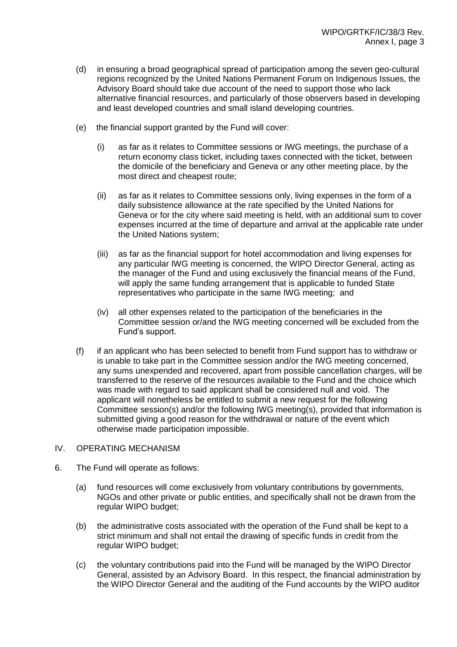- (d) in ensuring a broad geographical spread of participation among the seven geo-cultural regions recognized by the United Nations Permanent Forum on Indigenous Issues, the Advisory Board should take due account of the need to support those who lack alternative financial resources, and particularly of those observers based in developing and least developed countries and small island developing countries.
- (e) the financial support granted by the Fund will cover:
	- (i) as far as it relates to Committee sessions or IWG meetings, the purchase of a return economy class ticket, including taxes connected with the ticket, between the domicile of the beneficiary and Geneva or any other meeting place, by the most direct and cheapest route;
	- (ii) as far as it relates to Committee sessions only, living expenses in the form of a daily subsistence allowance at the rate specified by the United Nations for Geneva or for the city where said meeting is held, with an additional sum to cover expenses incurred at the time of departure and arrival at the applicable rate under the United Nations system;
	- (iii) as far as the financial support for hotel accommodation and living expenses for any particular IWG meeting is concerned, the WIPO Director General, acting as the manager of the Fund and using exclusively the financial means of the Fund, will apply the same funding arrangement that is applicable to funded State representatives who participate in the same IWG meeting; and
	- (iv) all other expenses related to the participation of the beneficiaries in the Committee session or/and the IWG meeting concerned will be excluded from the Fund's support.
- (f) if an applicant who has been selected to benefit from Fund support has to withdraw or is unable to take part in the Committee session and/or the IWG meeting concerned, any sums unexpended and recovered, apart from possible cancellation charges, will be transferred to the reserve of the resources available to the Fund and the choice which was made with regard to said applicant shall be considered null and void. The applicant will nonetheless be entitled to submit a new request for the following Committee session(s) and/or the following IWG meeting(s), provided that information is submitted giving a good reason for the withdrawal or nature of the event which otherwise made participation impossible.

#### IV. OPERATING MECHANISM

- 6. The Fund will operate as follows:
	- (a) fund resources will come exclusively from voluntary contributions by governments, NGOs and other private or public entities, and specifically shall not be drawn from the regular WIPO budget;
	- (b) the administrative costs associated with the operation of the Fund shall be kept to a strict minimum and shall not entail the drawing of specific funds in credit from the regular WIPO budget;
	- (c) the voluntary contributions paid into the Fund will be managed by the WIPO Director General, assisted by an Advisory Board. In this respect, the financial administration by the WIPO Director General and the auditing of the Fund accounts by the WIPO auditor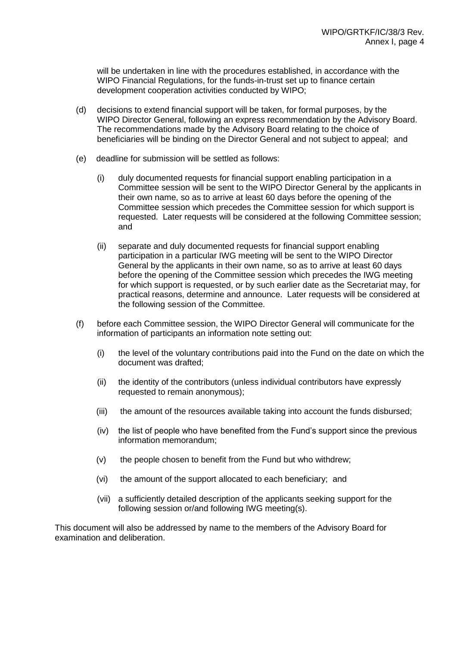will be undertaken in line with the procedures established, in accordance with the WIPO Financial Regulations, for the funds-in-trust set up to finance certain development cooperation activities conducted by WIPO;

- (d) decisions to extend financial support will be taken, for formal purposes, by the WIPO Director General, following an express recommendation by the Advisory Board. The recommendations made by the Advisory Board relating to the choice of beneficiaries will be binding on the Director General and not subject to appeal; and
- (e) deadline for submission will be settled as follows:
	- (i) duly documented requests for financial support enabling participation in a Committee session will be sent to the WIPO Director General by the applicants in their own name, so as to arrive at least 60 days before the opening of the Committee session which precedes the Committee session for which support is requested. Later requests will be considered at the following Committee session; and
	- (ii) separate and duly documented requests for financial support enabling participation in a particular IWG meeting will be sent to the WIPO Director General by the applicants in their own name, so as to arrive at least 60 days before the opening of the Committee session which precedes the IWG meeting for which support is requested, or by such earlier date as the Secretariat may, for practical reasons, determine and announce. Later requests will be considered at the following session of the Committee.
- (f) before each Committee session, the WIPO Director General will communicate for the information of participants an information note setting out:
	- (i) the level of the voluntary contributions paid into the Fund on the date on which the document was drafted;
	- (ii) the identity of the contributors (unless individual contributors have expressly requested to remain anonymous);
	- (iii) the amount of the resources available taking into account the funds disbursed;
	- (iv) the list of people who have benefited from the Fund's support since the previous information memorandum;
	- (v) the people chosen to benefit from the Fund but who withdrew;
	- (vi) the amount of the support allocated to each beneficiary; and
	- (vii) a sufficiently detailed description of the applicants seeking support for the following session or/and following IWG meeting(s).

This document will also be addressed by name to the members of the Advisory Board for examination and deliberation.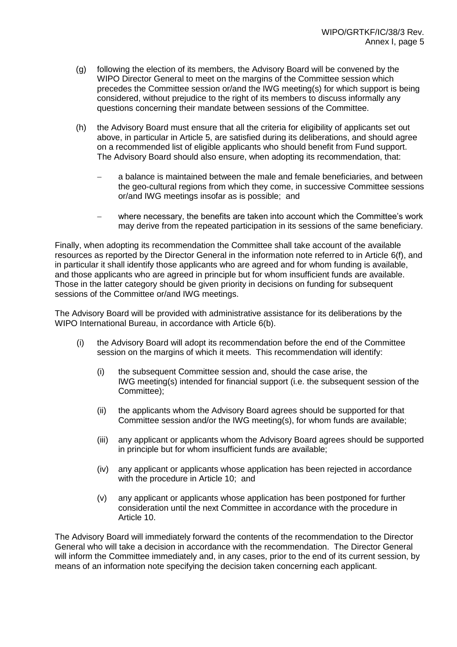- (g) following the election of its members, the Advisory Board will be convened by the WIPO Director General to meet on the margins of the Committee session which precedes the Committee session or/and the IWG meeting(s) for which support is being considered, without prejudice to the right of its members to discuss informally any questions concerning their mandate between sessions of the Committee.
- (h) the Advisory Board must ensure that all the criteria for eligibility of applicants set out above, in particular in Article 5, are satisfied during its deliberations, and should agree on a recommended list of eligible applicants who should benefit from Fund support. The Advisory Board should also ensure, when adopting its recommendation, that:
	- a balance is maintained between the male and female beneficiaries, and between the geo-cultural regions from which they come, in successive Committee sessions or/and IWG meetings insofar as is possible; and
	- where necessary, the benefits are taken into account which the Committee's work may derive from the repeated participation in its sessions of the same beneficiary.

Finally, when adopting its recommendation the Committee shall take account of the available resources as reported by the Director General in the information note referred to in Article 6(f), and in particular it shall identify those applicants who are agreed and for whom funding is available, and those applicants who are agreed in principle but for whom insufficient funds are available. Those in the latter category should be given priority in decisions on funding for subsequent sessions of the Committee or/and IWG meetings.

The Advisory Board will be provided with administrative assistance for its deliberations by the WIPO International Bureau, in accordance with Article 6(b).

- (i) the Advisory Board will adopt its recommendation before the end of the Committee session on the margins of which it meets. This recommendation will identify:
	- (i) the subsequent Committee session and, should the case arise, the IWG meeting(s) intended for financial support (i.e. the subsequent session of the Committee);
	- (ii) the applicants whom the Advisory Board agrees should be supported for that Committee session and/or the IWG meeting(s), for whom funds are available;
	- (iii) any applicant or applicants whom the Advisory Board agrees should be supported in principle but for whom insufficient funds are available;
	- (iv) any applicant or applicants whose application has been rejected in accordance with the procedure in Article 10; and
	- (v) any applicant or applicants whose application has been postponed for further consideration until the next Committee in accordance with the procedure in Article 10.

The Advisory Board will immediately forward the contents of the recommendation to the Director General who will take a decision in accordance with the recommendation. The Director General will inform the Committee immediately and, in any cases, prior to the end of its current session, by means of an information note specifying the decision taken concerning each applicant.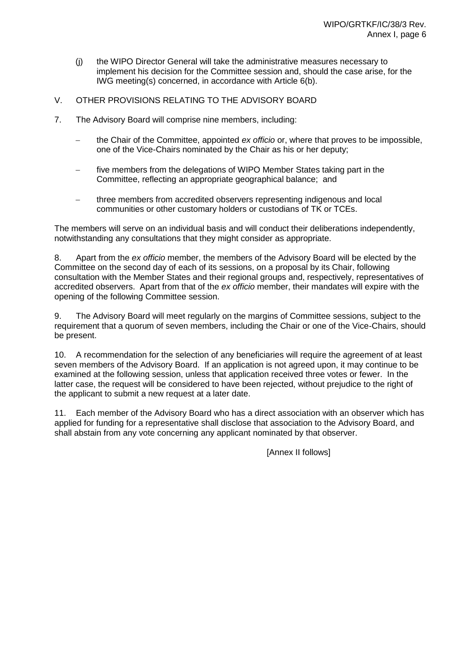- (j) the WIPO Director General will take the administrative measures necessary to implement his decision for the Committee session and, should the case arise, for the IWG meeting(s) concerned, in accordance with Article 6(b).
- V. OTHER PROVISIONS RELATING TO THE ADVISORY BOARD
- 7. The Advisory Board will comprise nine members, including:
	- the Chair of the Committee, appointed *ex officio* or, where that proves to be impossible, one of the Vice-Chairs nominated by the Chair as his or her deputy;
	- five members from the delegations of WIPO Member States taking part in the Committee, reflecting an appropriate geographical balance; and
	- three members from accredited observers representing indigenous and local communities or other customary holders or custodians of TK or TCEs.

The members will serve on an individual basis and will conduct their deliberations independently, notwithstanding any consultations that they might consider as appropriate.

8. Apart from the *ex officio* member, the members of the Advisory Board will be elected by the Committee on the second day of each of its sessions, on a proposal by its Chair, following consultation with the Member States and their regional groups and, respectively, representatives of accredited observers. Apart from that of the *ex officio* member, their mandates will expire with the opening of the following Committee session.

9. The Advisory Board will meet regularly on the margins of Committee sessions, subject to the requirement that a quorum of seven members, including the Chair or one of the Vice-Chairs, should be present.

10. A recommendation for the selection of any beneficiaries will require the agreement of at least seven members of the Advisory Board. If an application is not agreed upon, it may continue to be examined at the following session, unless that application received three votes or fewer. In the latter case, the request will be considered to have been rejected, without prejudice to the right of the applicant to submit a new request at a later date.

11. Each member of the Advisory Board who has a direct association with an observer which has applied for funding for a representative shall disclose that association to the Advisory Board, and shall abstain from any vote concerning any applicant nominated by that observer.

[Annex II follows]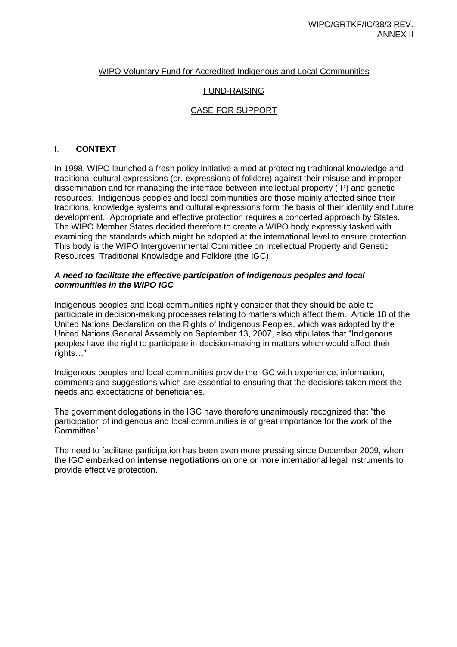## WIPO Voluntary Fund for Accredited Indigenous and Local Communities

## FUND-RAISING

# CASE FOR SUPPORT

#### I. **CONTEXT**

In 1998, WIPO launched a fresh policy initiative aimed at protecting traditional knowledge and traditional cultural expressions (or, expressions of folklore) against their misuse and improper dissemination and for managing the interface between intellectual property (IP) and genetic resources. Indigenous peoples and local communities are those mainly affected since their traditions, knowledge systems and cultural expressions form the basis of their identity and future development. Appropriate and effective protection requires a concerted approach by States. The WIPO Member States decided therefore to create a WIPO body expressly tasked with examining the standards which might be adopted at the international level to ensure protection. This body is the WIPO Intergovernmental Committee on Intellectual Property and Genetic Resources, Traditional Knowledge and Folklore (the IGC).

#### *A need to facilitate the effective participation of indigenous peoples and local communities in the WIPO IGC*

Indigenous peoples and local communities rightly consider that they should be able to participate in decision-making processes relating to matters which affect them. Article 18 of the United Nations Declaration on the Rights of Indigenous Peoples, which was adopted by the United Nations General Assembly on September 13, 2007, also stipulates that "Indigenous peoples have the right to participate in decision-making in matters which would affect their rights…"

Indigenous peoples and local communities provide the IGC with experience, information, comments and suggestions which are essential to ensuring that the decisions taken meet the needs and expectations of beneficiaries.

The government delegations in the IGC have therefore unanimously recognized that "the participation of indigenous and local communities is of great importance for the work of the Committee".

The need to facilitate participation has been even more pressing since December 2009, when the IGC embarked on **intense negotiations** on one or more international legal instruments to provide effective protection.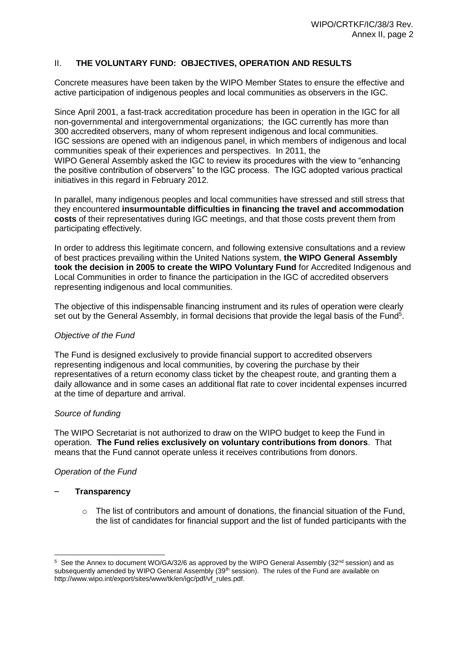# II. **THE VOLUNTARY FUND: OBJECTIVES, OPERATION AND RESULTS**

Concrete measures have been taken by the WIPO Member States to ensure the effective and active participation of indigenous peoples and local communities as observers in the IGC.

Since April 2001, a fast-track accreditation procedure has been in operation in the IGC for all non-governmental and intergovernmental organizations; the IGC currently has more than 300 accredited observers, many of whom represent indigenous and local communities. IGC sessions are opened with an indigenous panel, in which members of indigenous and local communities speak of their experiences and perspectives. In 2011, the WIPO General Assembly asked the IGC to review its procedures with the view to "enhancing the positive contribution of observers" to the IGC process. The IGC adopted various practical initiatives in this regard in February 2012.

In parallel, many indigenous peoples and local communities have stressed and still stress that they encountered **insurmountable difficulties in financing the travel and accommodation costs** of their representatives during IGC meetings, and that those costs prevent them from participating effectively.

In order to address this legitimate concern, and following extensive consultations and a review of best practices prevailing within the United Nations system, **the WIPO General Assembly took the decision in 2005 to create the WIPO Voluntary Fund** for Accredited Indigenous and Local Communities in order to finance the participation in the IGC of accredited observers representing indigenous and local communities.

The objective of this indispensable financing instrument and its rules of operation were clearly set out by the General Assembly, in formal decisions that provide the legal basis of the Fund<sup>5</sup>.

## *Objective of the Fund*

The Fund is designed exclusively to provide financial support to accredited observers representing indigenous and local communities, by covering the purchase by their representatives of a return economy class ticket by the cheapest route, and granting them a daily allowance and in some cases an additional flat rate to cover incidental expenses incurred at the time of departure and arrival.

## *Source of funding*

The WIPO Secretariat is not authorized to draw on the WIPO budget to keep the Fund in operation. **The Fund relies exclusively on voluntary contributions from donors**. That means that the Fund cannot operate unless it receives contributions from donors.

## *Operation of the Fund*

## – **Transparency**

 $\circ$  The list of contributors and amount of donations, the financial situation of the Fund, the list of candidates for financial support and the list of funded participants with the

<sup>&</sup>lt;sup>5</sup> See the Annex to document WO/GA/32/6 as approved by the WIPO General Assembly (32<sup>nd</sup> session) and as subsequently amended by WIPO General Assembly (39<sup>th</sup> session). The rules of the Fund are available on [http://www.wipo.int/export/sites/www/tk/en/igc/pdf/vf\\_rules.pdf.](http://www.wipo.int/export/sites/www/tk/en/igc/pdf/vf_rules.pdf)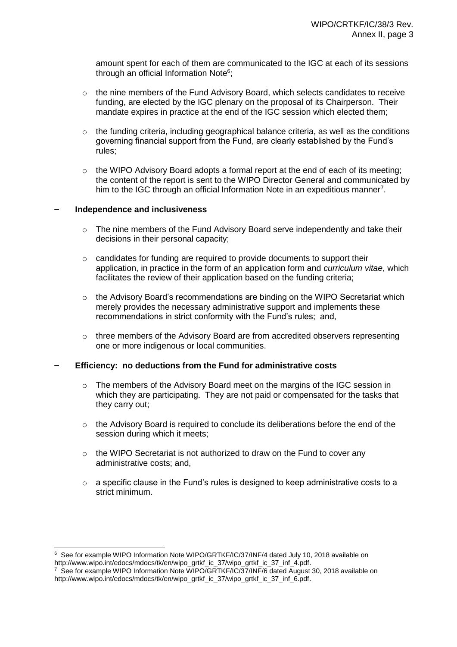amount spent for each of them are communicated to the IGC at each of its sessions through an official Information Note<sup>6</sup>;

- $\circ$  the nine members of the Fund Advisory Board, which selects candidates to receive funding, are elected by the IGC plenary on the proposal of its Chairperson. Their mandate expires in practice at the end of the IGC session which elected them;
- $\circ$  the funding criteria, including geographical balance criteria, as well as the conditions governing financial support from the Fund, are clearly established by the Fund's rules;
- $\circ$  the WIPO Advisory Board adopts a formal report at the end of each of its meeting; the content of the report is sent to the WIPO Director General and communicated by him to the IGC through an official Information Note in an expeditious manner<sup>7</sup>.

#### – **Independence and inclusiveness**

- o The nine members of the Fund Advisory Board serve independently and take their decisions in their personal capacity;
- $\circ$  candidates for funding are required to provide documents to support their application, in practice in the form of an application form and *curriculum vitae*, which facilitates the review of their application based on the funding criteria;
- $\circ$  the Advisory Board's recommendations are binding on the WIPO Secretariat which merely provides the necessary administrative support and implements these recommendations in strict conformity with the Fund's rules; and,
- $\circ$  three members of the Advisory Board are from accredited observers representing one or more indigenous or local communities.

## – **Efficiency: no deductions from the Fund for administrative costs**

- $\circ$  The members of the Advisory Board meet on the margins of the IGC session in which they are participating. They are not paid or compensated for the tasks that they carry out;
- o the Advisory Board is required to conclude its deliberations before the end of the session during which it meets;
- o the WIPO Secretariat is not authorized to draw on the Fund to cover any administrative costs; and,
- o a specific clause in the Fund's rules is designed to keep administrative costs to a strict minimum.

 $\overline{a}$ 6 See for example WIPO Information Note WIPO/GRTKF/IC/37/INF/4 dated July 10, 2018 available on [http://www.wipo.int/edocs/mdocs/tk/en/wipo\\_grtkf\\_ic\\_37/wipo\\_grtkf\\_ic\\_37\\_inf\\_4.pdf.](http://www.wipo.int/edocs/mdocs/tk/en/wipo_grtkf_ic_37/wipo_grtkf_ic_37_inf_4.pdf)

<sup>7</sup> See for example WIPO Information Note WIPO/GRTKF/IC/37/INF/6 dated August 30, 2018 available on [http://www.wipo.int/edocs/mdocs/tk/en/wipo\\_grtkf\\_ic\\_37/wipo\\_grtkf\\_ic\\_37\\_inf\\_6.pdf.](http://www.wipo.int/edocs/mdocs/tk/en/wipo_grtkf_ic_37/wipo_grtkf_ic_37_inf_6.pdf)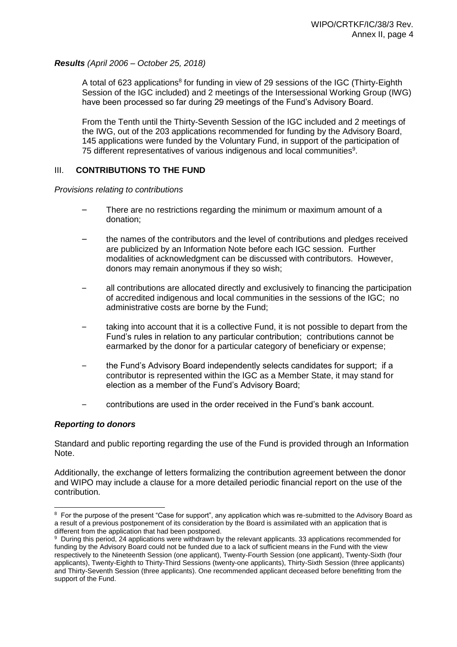#### *Results (April 2006 – October 25, 2018)*

A total of 623 applications<sup>8</sup> for funding in view of 29 sessions of the IGC (Thirty-Eighth Session of the IGC included) and 2 meetings of the Intersessional Working Group (IWG) have been processed so far during 29 meetings of the Fund's Advisory Board.

From the Tenth until the Thirty-Seventh Session of the IGC included and 2 meetings of the IWG, out of the 203 applications recommended for funding by the Advisory Board, 145 applications were funded by the Voluntary Fund, in support of the participation of 75 different representatives of various indigenous and local communities<sup>9</sup>.

#### III. **CONTRIBUTIONS TO THE FUND**

*Provisions relating to contributions*

- There are no restrictions regarding the minimum or maximum amount of a donation;
- the names of the contributors and the level of contributions and pledges received are publicized by an Information Note before each IGC session. Further modalities of acknowledgment can be discussed with contributors. However, donors may remain anonymous if they so wish;
- all contributions are allocated directly and exclusively to financing the participation of accredited indigenous and local communities in the sessions of the IGC; no administrative costs are borne by the Fund;
- taking into account that it is a collective Fund, it is not possible to depart from the Fund's rules in relation to any particular contribution; contributions cannot be earmarked by the donor for a particular category of beneficiary or expense;
- the Fund's Advisory Board independently selects candidates for support; if a contributor is represented within the IGC as a Member State, it may stand for election as a member of the Fund's Advisory Board;
- contributions are used in the order received in the Fund's bank account.

#### *Reporting to donors*

Standard and public reporting regarding the use of the Fund is provided through an Information Note.

Additionally, the exchange of letters formalizing the contribution agreement between the donor and WIPO may include a clause for a more detailed periodic financial report on the use of the contribution.

 $\overline{a}$ <sup>8</sup> For the purpose of the present "Case for support", any application which was re-submitted to the Advisory Board as a result of a previous postponement of its consideration by the Board is assimilated with an application that is different from the application that had been postponed.

<sup>9</sup> During this period, 24 applications were withdrawn by the relevant applicants. 33 applications recommended for funding by the Advisory Board could not be funded due to a lack of sufficient means in the Fund with the view respectively to the Nineteenth Session (one applicant), Twenty-Fourth Session (one applicant), Twenty-Sixth (four applicants), Twenty-Eighth to Thirty-Third Sessions (twenty-one applicants), Thirty-Sixth Session (three applicants) and Thirty-Seventh Session (three applicants). One recommended applicant deceased before benefitting from the support of the Fund.